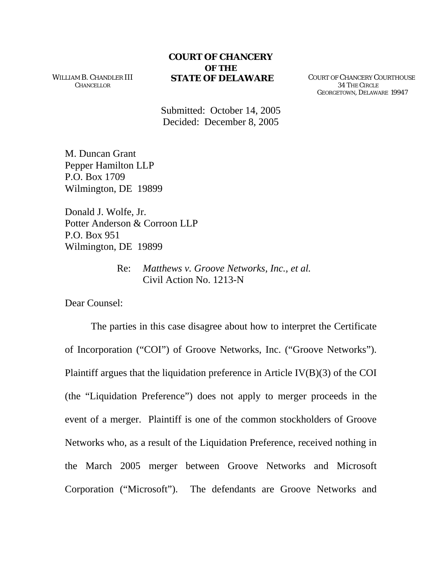## **COURT OF CHANCERY OF THE**

WILLIAM B. CHANDLER III **CHANCELLOR** 

**STATE OF DELAWARE** COURT OF CHANCERY COURTHOUSE 34 THE CIRCLE GEORGETOWN, DELAWARE 19947

Submitted: October 14, 2005 Decided: December 8, 2005

M. Duncan Grant Pepper Hamilton LLP P.O. Box 1709 Wilmington, DE 19899

Donald J. Wolfe, Jr. Potter Anderson & Corroon LLP P.O. Box 951 Wilmington, DE 19899

> Re: *Matthews v. Groove Networks, Inc., et al.* Civil Action No. 1213-N

Dear Counsel:

The parties in this case disagree about how to interpret the Certificate of Incorporation ("COI") of Groove Networks, Inc. ("Groove Networks"). Plaintiff argues that the liquidation preference in Article IV(B)(3) of the COI (the "Liquidation Preference") does not apply to merger proceeds in the event of a merger. Plaintiff is one of the common stockholders of Groove Networks who, as a result of the Liquidation Preference, received nothing in the March 2005 merger between Groove Networks and Microsoft Corporation ("Microsoft"). The defendants are Groove Networks and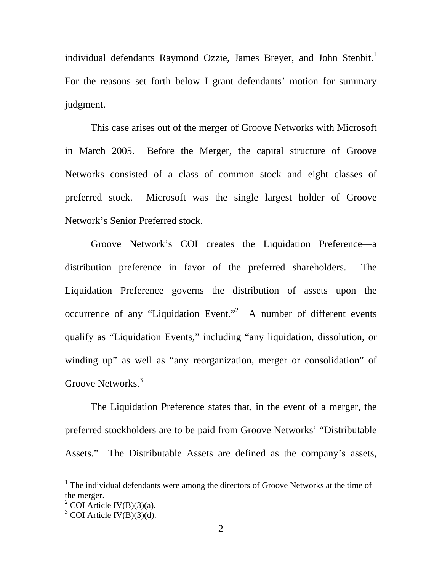individual defendants Raymond Ozzie, James Breyer, and John Stenbit.<sup>[1](#page-1-0)</sup> For the reasons set forth below I grant defendants' motion for summary judgment.

This case arises out of the merger of Groove Networks with Microsoft in March 2005. Before the Merger, the capital structure of Groove Networks consisted of a class of common stock and eight classes of preferred stock. Microsoft was the single largest holder of Groove Network's Senior Preferred stock.

Groove Network's COI creates the Liquidation Preference—a distribution preference in favor of the preferred shareholders. The Liquidation Preference governs the distribution of assets upon the occurrence of any "Liquidation Event."<sup>[2](#page-1-1)</sup> A number of different events qualify as "Liquidation Events," including "any liquidation, dissolution, or winding up" as well as "any reorganization, merger or consolidation" of Groove Networks.<sup>[3](#page-1-2)</sup>

The Liquidation Preference states that, in the event of a merger, the preferred stockholders are to be paid from Groove Networks' "Distributable Assets." The Distributable Assets are defined as the company's assets,

 $\overline{a}$ 

<span id="page-1-0"></span> $<sup>1</sup>$  The individual defendants were among the directors of Groove Networks at the time of</sup> the merger.

<span id="page-1-1"></span><sup>&</sup>lt;sup>2</sup> COI Article IV(B)(3)(a).

<span id="page-1-2"></span> $3$  COI Article IV(B)(3)(d).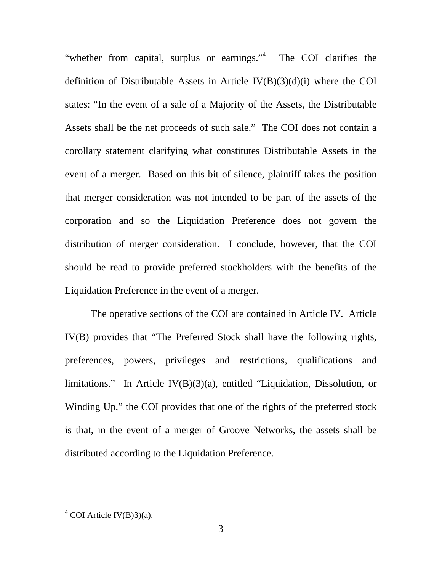"whether from capital, surplus or earnings."<sup>[4](#page-2-0)</sup> The COI clarifies the definition of Distributable Assets in Article IV(B)(3)(d)(i) where the COI states: "In the event of a sale of a Majority of the Assets, the Distributable Assets shall be the net proceeds of such sale." The COI does not contain a corollary statement clarifying what constitutes Distributable Assets in the event of a merger. Based on this bit of silence, plaintiff takes the position that merger consideration was not intended to be part of the assets of the corporation and so the Liquidation Preference does not govern the distribution of merger consideration. I conclude, however, that the COI should be read to provide preferred stockholders with the benefits of the Liquidation Preference in the event of a merger.

The operative sections of the COI are contained in Article IV. Article IV(B) provides that "The Preferred Stock shall have the following rights, preferences, powers, privileges and restrictions, qualifications and limitations." In Article IV(B)(3)(a), entitled "Liquidation, Dissolution, or Winding Up," the COI provides that one of the rights of the preferred stock is that, in the event of a merger of Groove Networks, the assets shall be distributed according to the Liquidation Preference.

<span id="page-2-0"></span> $4 \overline{\text{COI Article IV(B)}3)}$ (a).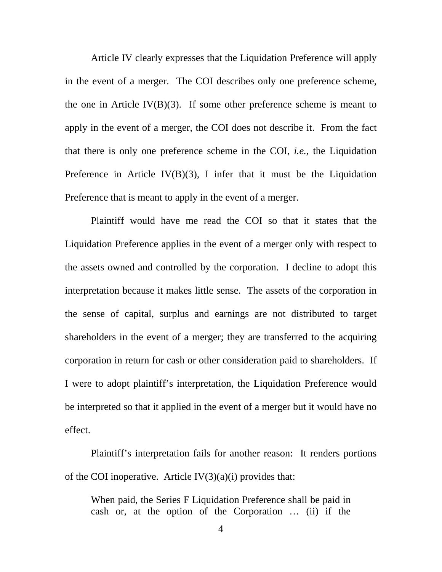Article IV clearly expresses that the Liquidation Preference will apply in the event of a merger. The COI describes only one preference scheme, the one in Article IV $(B)(3)$ . If some other preference scheme is meant to apply in the event of a merger, the COI does not describe it. From the fact that there is only one preference scheme in the COI, *i.e.*, the Liquidation Preference in Article IV(B)(3), I infer that it must be the Liquidation Preference that is meant to apply in the event of a merger.

Plaintiff would have me read the COI so that it states that the Liquidation Preference applies in the event of a merger only with respect to the assets owned and controlled by the corporation. I decline to adopt this interpretation because it makes little sense. The assets of the corporation in the sense of capital, surplus and earnings are not distributed to target shareholders in the event of a merger; they are transferred to the acquiring corporation in return for cash or other consideration paid to shareholders. If I were to adopt plaintiff's interpretation, the Liquidation Preference would be interpreted so that it applied in the event of a merger but it would have no effect.

Plaintiff's interpretation fails for another reason: It renders portions of the COI inoperative. Article  $IV(3)(a)(i)$  provides that:

When paid, the Series F Liquidation Preference shall be paid in cash or, at the option of the Corporation … (ii) if the